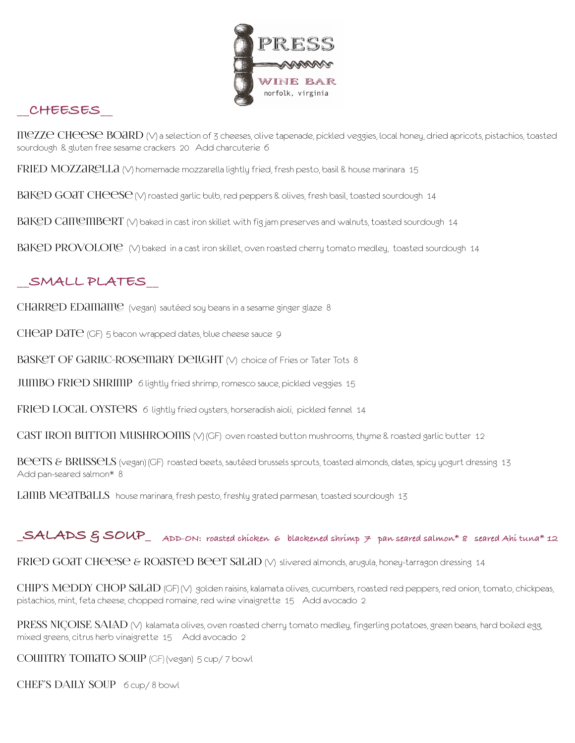

# **\_\_CHEESES\_\_**

mezze Cheese Board (V) a selection of 3 cheeses, olive tapenade, pickled veggies, local honey, dried apricots, pistachios, toasted sourdough & gluten free sesame crackers 20 Add charcuterie 6

 $FRIED MOZZARELLA (V)$  homemade mozzarella lightly fried, fresh pesto, basil & house marinara 15

BAKED GOAT CHEESE (V) roasted garlic bulb, red peppers & olives, fresh basil, toasted sourdough 14

 $B$ aKeD Camembert (V) baked in cast iron skillet with fig jam preserves and walnuts, toasted sourdough 14

BAKED PROVOLOPE (V) baked in a cast iron skillet, oven roasted cherry tomato medley, toasted sourdough 14

# **\_\_SMALL PLATES\_\_**

CHARRED EDAMAME (vegan) sautéed soy beans in a sesame ginger glaze 8

CHeap Date (GF) 5 bacon wrapped dates, blue cheese sauce 9

 $BASNET$  OF GARLC-ROS $emARY$  DeLGHT  $\wedge\wedge$  choice of Fries or Tater Tots 8

JUMBO FRIED SHRIMP 6 lightly fried shrimp, romesco sauce, pickled veggies 15

FRIED LOCAL OYSTERS 6 lightly fried oysters, horseradish aioli, pickled fennel 14

CAST IRON BUTTON MUSHROOMS ( $\vee$ ) (GF) oven roasted button mushrooms, thyme & roasted garlic butter 12

Beets & BRUSSeLS (vegan) (GF) roasted beets, sautéed brussels sprouts, toasted almonds, dates, spicy yogurt dressing 13 Add pan-seared salmon\* 8

Lamb MeatballS house marinara, fresh pesto, freshly grated parmesan, toasted sourdough 13

## **\_SALADS & SOUP\_ ADD-ON: roasted chicken 6 blackened shrimp 7 pan seared salmon\* 8 seared Ahi tuna\* 12**

FRIED GOAT CHEESE & ROASTED BEET SALAD (V) slivered almonds, arugula, honey-tarragon dressing 14

 $CHIP'S MEDDY CHOP SALAD (GF) (V) golden raisins, kalamata olives, cucumbers, roasted red peppers, red onion, tomato, chickpeas,$ pistachios, mint, feta cheese, chopped romaine, red wine vinaigrette 15 Add avocado 2

PRESS NICOISE SAIAD (V) kalamata olives, oven roasted cherry tomato medley, fingerling potatoes, green beans, hard boiled egg, mixed greens, citrus herb vinaigrette 15 Add avocado 2

country tomato soup (GF) (vegan) 5 cup/ 7 bowl

CHEF'S DAILY SOUP 6 cup/8 bowl